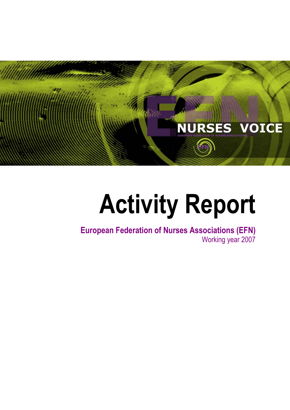

# **Activity Report**

**European Federation of Nurses Associations (EFN)**  Working year 2007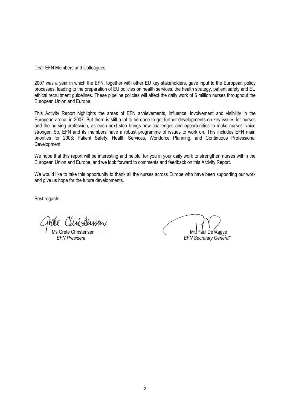Dear EFN Members and Colleagues,

2007 was a year in which the EFN, together with other EU key stakeholders, gave input to the European policy processes, leading to the preparation of EU policies on health services, the health strategy, patient safety and EU ethical recruitment guidelines. These pipeline policies will affect the daily work of 6 million nurses throughout the European Union and Europe.

This Activity Report highlights the areas of EFN achievements, influence, involvement and visibility in the European arena, in 2007. But there is still a lot to be done to get further developments on key issues for nurses and the nursing profession, as each next step brings new challenges and opportunities to make nurses' voice stronger. So, EFN and its members have a robust programme of issues to work on. This includes EFN main priorities for 2008: Patient Safety, Health Services, Workforce Planning, and Continuous Professional Development.

We hope that this report will be interesting and helpful for you in your daily work to strengthen nurses within the European Union and Europe, and we look forward to comments and feedback on this Activity Report.

We would like to take this opportunity to thank all the nurses across Europe who have been supporting our work and give us hope for the future developments.

Best regards,

 Ms Grete Christensen Mr. Paul De Raeve  *EFN President EFN Secretary General*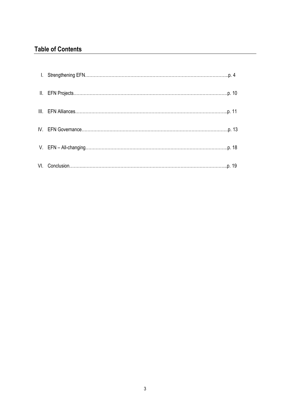# **Table of Contents**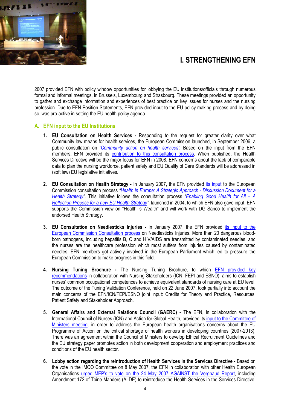

2007 provided EFN with policy window opportunities for lobbying the EU institutions/officials through numerous formal and informal meetings, in Brussels, Luxembourg and Strasbourg. These meetings provided an opportunity to gather and exchange information and experiences of best practice on key issues for nurses and the nursing profession. Due to EFN Position Statements, EFN provided input to the EU policy-making process and by doing so, was pro-active in setting the EU health policy agenda.

# **A. EFN input to the EU Institutions**

- **1. EU Consultation on Health Services** Responding to the request for greater clarity over what Community law means for health services, the European Commission launched, in September 2006, a public consultation on '*Community action on health services'*. Based on the input from the EFN members, EFN provided its contribution to this consultation process. When published, the Health Services Directive will be the major focus for EFN in 2008. EFN concerns about the lack of comparable data to plan the nursing workforce, patient safety and EU Quality of Care Standards will be addressed in (soft law) EU legislative initiatives.
- **2. EU Consultation on Health Strategy** In January 2007, the EFN provided its input to the European Commission consultation process *"Health in Europe: A Strategic Approach - Discussion Document for a Health Strategy"*. This initiative follows the consultation process *"Enabling Good Health for All – A Reflection Process for a new EU Health Strategy"*, launched in 2004, to which EFN also gave input. EFN supports the Commission view on "Health is Wealth" and will work with DG Sanco to implement the endorsed Health Strategy.
- **3. EU Consultation on Needlesticks Injuries** In January 2007, the EFN provided its input to the European Commission Consultation process on Needlesticks Injuries. More than 20 dangerous bloodborn pathogens, including hepatitis B, C and HIV/AIDS are transmitted by contaminated needles, and the nurses are the healthcare profession which most suffers from injuries caused by contaminated needles. EFN members got actively involved in the European Parliament which led to pressure the European Commission to make progress in this field.
- **4. Nursing Tuning Brochure -** The Nursing Tuning Brochure, to which EFN provided key recommendations in collaboration with Nursing Stakeholders (ICN, FEPI and ESNO), aims to establish nurses' common occupational competences to achieve equivalent standards of nursing care at EU level. The outcome of the Tuning Validation Conference, held on 22 June 2007, took partially into account the main concerns of the EFN/ICN/FEPI/ESNO joint input: Credits for Theory and Practice, Resources, Patient Safety and Stakeholder Approach.
- **5. General Affairs and External Relations Council (GAERC)** The EFN, in collaboration with the International Council of Nurses (ICN) and Action for Global Health, provided its input to the Committee of Ministers meeting, in order to address the European health organisations concerns about the EU Programme of Action on the critical shortage of health workers in developing countries (2007-2013). There was an agreement within the Council of Ministers to develop Ethical Recruitment Guidelines and the EU strategy paper promotes action in both development cooperation and employment practices and conditions of the EU health sector.
- **6. Lobby action regarding the reintroduction of Health Services in the Services Directive** Based on the vote in the IMCO Committee on 8 May 2007, the EFN in collaboration with other Health European Organisations urged MEP's to vote on the 24 May 2007 AGAINST the Vergnaud Report, including Amendment 172 of Toine Manders (ALDE) to reintroduce the Health Services in the Services Directive.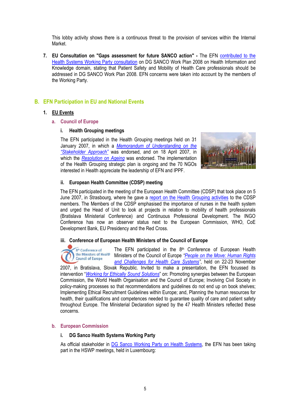This lobby activity shows there is a continuous threat to the provision of services within the Internal Market.

**7. EU Consultation on "Gaps assessment for future SANCO action" -** The EFN contributed to the Health Systems Working Party consultation on DG SANCO Work Plan 2008 on Health Information and Knowledge domain, stating that Patient Safety and Mobility of Health Care professionals should be addressed in DG SANCO Work Plan 2008. EFN concerns were taken into account by the members of the Working Party.

# **B. EFN Participation in EU and National Events**

### **1. EU Events**

### **a. Council of Europe**

### **i. Health Grouping meetings**

The EFN participated in the Health Grouping meetings held on 31 January 2007, in which a *Memorandum of Understanding on the "Stakeholder Approach"* was endorsed, and on 18 April 2007, in which the *Resolution on Ageing* was endorsed. The implementation of the Health Grouping strategic plan is ongoing and the 70 NGOs interested in Health appreciate the leadership of EFN and IPPF.



### **ii. European Health Committee (CDSP) meeting**

The EFN participated in the meeting of the European Health Committee (CDSP) that took place on 5 June 2007, in Strasbourg, where he gave a report on the Health Grouping activities to the CDSP members. The Members of the CDSP emphasised the importance of nurses in the health system and urged the Head of Unit to look at projects in relation to mobility of health professionals (Bratislava Ministerial Conference) and Continuous Professional Development. The INGO Conference has now an observer status next to the European Commission, WHO, CoE Development Bank, EU Presidency and the Red Cross.

#### **iii. Conference of European Health Ministers of the Council of Europe**

The EFN participated in the 8<sup>th</sup> Conference of European Health 8<sup>th</sup> Conference of the Ministers of Health Ministers of the Council of Europe *"People on the Move: Human Rights*  **Council of Europe** *and Challenges for Health Care Systems"*, held on 22-23 November

2007, in Bratislava, Slovak Republic. Invited to make a presentation, the EFN focussed its intervention "*Working for Ethically Sound Solutions*" on: Promoting synergies between the European Commission, the World Health Organisation and the Council of Europe; Involving Civil Society in policy-making processes so that recommendations and guidelines do not end up on book shelves; Implementing Ethical Recruitment Guidelines within Europe; and, Planning the human resources for health, their qualifications and competences needed to quarantee quality of care and patient safety throughout Europe. The Ministerial Declaration signed by the 47 Health Ministers reflected these concerns.

#### **b. European Commission**

#### **i. DG Sanco Health Systems Working Party**

As official stakeholder in DG Sanco Working Party on Health Systems, the EFN has been taking part in the HSWP meetings, held in Luxembourg: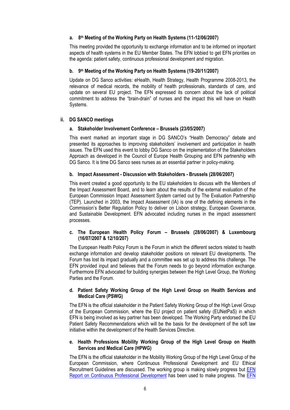# **a. 8th Meeting of the Working Party on Health Systems (11-12/06/2007)**

This meeting provided the opportunity to exchange information and to be informed on important aspects of health systems in the EU Member States. The EFN lobbied to get EFN priorities on the agenda: patient safety, continuous professional development and migration.

# **b. 9th Meeting of the Working Party on Health Systems (19-20/11/2007)**

Update on DG Sanco activities: eHealth, Health Strategy, Health Programme 2008-2013, the relevance of medical records, the mobility of health professionals, standards of care, and update on several EU project. The EFN expressed its concern about the lack of political commitment to address the "brain-drain" of nurses and the impact this will have on Health Systems.

# **ii. DG SANCO meetings**

# **a. Stakeholder Involvement Conference – Brussels (23/05/2007)**

This event marked an important stage in DG SANCO's "Health Democracy" debate and presented its approaches to improving stakeholders' involvement and participation in health issues. The EFN used this event to lobby DG Sanco on the implementation of the Stakeholders Approach as developed in the Council of Europe Health Grouping and EFN partnership with DG Sanco. It is time DG Sanco sees nurses as an essential partner in policy-making.

# **b. Impact Assessment - Discussion with Stakeholders - Brussels (28/06/2007)**

This event created a good opportunity to the EU stakeholders to discuss with the Members of the Impact Assessment Board, and to learn about the results of the external evaluation of the European Commission Impact Assessment System carried out by The Evaluation Partnership (TEP). Launched in 2003, the Impact Assessment (IA) is one of the defining elements in the Commission's Better Regulation Policy to deliver on Lisbon strategy, European Governance, and Sustainable Development. EFN advocated including nurses in the impact assessment processes.

# **c. The European Health Policy Forum – Brussels (28/06/2007) & Luxembourg (16/07/2007 & 12/10/207)**

The European Health Policy Forum is the Forum in which the different sectors related to health exchange information and develop stakeholder positions on relevant EU developments. The Forum has lost its impact gradually and a committee was set up to address this challenge. The EFN provided input and believes that the Forum needs to go beyond information exchange. Furthermore EFN advocated for building synergies between the High Level Group, the Working Parties and the Forum.

# **d. Patient Safety Working Group of the High Level Group on Health Services and Medical Care (PSWG)**

The EFN is the official stakeholder in the Patient Safety Working Group of the High Level Group of the European Commission, where the EU project on patient safety (EUNetPaS) in which EFN is being involved as key partner has been developed. The Working Party endorsed the EU Patient Safety Recommendations which will be the basis for the development of the soft law initiative within the development of the Health Services Directive.

### **e. Health Professions Mobility Working Group of the High Level Group on Health Services and Medical Care (HPWG)**

The EFN is the official stakeholder in the Mobility Working Group of the High Level Group of the European Commission, where Continuous Professional Development and EU Ethical Recruitment Guidelines are discussed. The working group is making slowly progress but **EFN** Report on Continuous Professional Development has been used to make progress. The EFN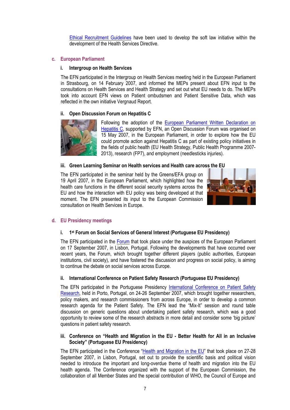Ethical Recruitment Guidelines have been used to develop the soft law initiative within the development of the Health Services Directive.

### **c. European Parliament**

# **i. Intergroup on Health Services**

The EFN participated in the Intergroup on Health Services meeting held in the European Parliament in Strasbourg, on 14 February 2007, and informed the MEPs present about EFN input to the consultations on Health Services and Health Strategy and set out what EU needs to do. The MEPs took into account EFN views on Patient ombudsmen and Patient Sensitive Data, which was reflected in the own initiative Vergnaud Report.

# **ii. Open Discussion Forum on Hepatitis C**



Following the adoption of the European Parliament Written Declaration on Hepatitis C, supported by EFN, an Open Discussion Forum was organised on 15 May 2007, in the European Parliament, in order to explore how the EU could promote action against Hepatitis C as part of existing policy initiatives in the fields of public health (EU Health Strategy, Public Health Programme 2007- 2013), research (FP7), and employment (needlesticks injuries).

# **iii. Green Learning Seminar on Health services and Health care across the EU**

The EFN participated in the seminar held by the Greens/EFA group on 19 April 2007, in the European Parliament, which highlighted how the health care functions in the different social security systems across the EU and how the interaction with EU policy was being developed at that moment. The EFN presented its input to the European Commission consultation on Health Services in Europe.



### **d. EU Presidency meetings**

### **i. 1st Forum on Social Services of General Interest (Portuguese EU Presidency)**

The EFN participated in the Forum that took place under the auspices of the European Parliament on 17 September 2007, in Lisbon, Portugal. Following the developments that have occurred over recent years, the Forum, which brought together different players (public authorities, European institutions, civil society), and have fostered the discussion and progress on social policy, is aiming to continue the debate on social services across Europe.

# **ii. International Conference on Patient Safety Research (Portuguese EU Presidency)**

The EFN participated in the Portuguese Presidency International Conference on Patient Safety Research, held in Porto, Portugal, on 24-26 September 2007, which brought together researchers, policy makers, and research commissioners from across Europe, in order to develop a common research agenda for the Patient Safety. The EFN lead the "Mix-It" session and round table discussion on generic questions about undertaking patient safety research, which was a good opportunity to review some of the research abstracts in more detail and consider some 'big picture' questions in patient safety research.

### **iii. Conference on "Health and Migration in the EU - Better Health for All in an Inclusive Society" (Portuguese EU Presidency)**

The EFN participated in the Conference "Health and Migration in the EU" that took place on 27-28 September 2007, in Lisbon, Portugal, set out to provide the scientific basis and political vision needed to introduce the important and long-overdue theme of health and migration into the EU health agenda. The Conference organized with the support of the European Commission, the collaboration of all Member States and the special contribution of WHO, the Council of Europe and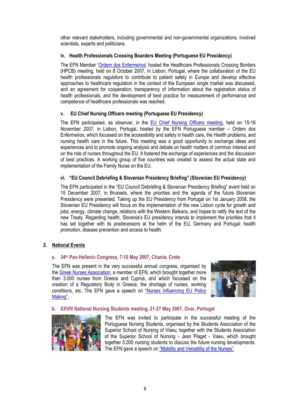other relevant stakeholders, including governmental and non-governmental organizations, involved scientists, experts and politicians.

# **iv. Health Professionals Crossing Boarders Meeting (Portuguese EU Presidency)**

The EFN Member 'Ordem dos Enfermeiros' hosted the Healthcare Professionals Crossing Borders (HPCB) meeting, held on 8 October 2007, in Lisbon, Portugal, where the collaboration of the EU health professionals regulators to contribute to patient safety in Europe and develop effective approaches to healthcare regulation in the context of the European single market was discussed, and an agreement for cooperation, transparency of information about the registration status of health professionals, and the development of best practice for measurement of performance and competence of healthcare professionals was reached.

# **v. EU Chief Nursing Officers meeting (Portuguese EU Presidency)**

The EFN participated, as observer, in the EU Chief Nursing Officers meeting, held on 15-16 November 2007, in Lisbon, Portugal, hosted by the EFN Portuguese member – Ordem dos Enfermeiros, which focussed on the accessibility and safety in health care, the Health problems, and nursing health care in the future. This meeting was a good opportunity to exchange ideas and experiences and to promote ongoing analysis and debate on health matters of common interest and on the role of nurses throughout the EU. It fostered the exchange of experiences and the discussion of best practices. A working group of five countries was created to assess the actual state and implementation of the Family Nurse on the EU.

# **vi. "EU Council Debriefing & Slovenian Presidency Briefing" (Slovenian EU Presidency)**

The EFN participated in the "EU Council Debriefing & Slovenian Presidency Briefing" event held on 15 December 2007, in Brussels, where the priorities and the agenda of the future Slovenian Presidency were presented. Taking up the EU Presidency from Portugal on 1st January 2008, the Slovenian EU Presidency will focus on the implementation of the new Lisbon cycle for growth and jobs, energy, climate change, relations with the Western Balkans, and hopes to ratify the text of the new Treaty. Regarding health, Slovenia's EU presidency intends to implement the priorities that it has set together with its predecessors at the helm of the EU, Germany and Portugal: health promotion, disease prevention and access to health.

# **2. National Events**

# **a. 34th Pan-Hellenic Congress, 7-10 May 2007, Chania, Crete**

The EFN was present in the very successful annual congress, organised by the Greek Nurses Association, a member of EFN, which brought together more than 3.000 nurses from Greece and Cyprus, and which focussed on the creation of a Regulatory Body in Greece, the shortage of nurses, working conditions, etc. The EFN gave a speech on "Nurses Influencing EU Policy Making".



# **b. XXVIII National Nursing Students meeting, 21-27 May 2007, Ovar, Portugal**



The EFN was invited to participate in the successful meeting of the Portuguese Nursing Students, organised by the Students Association of the Superior School of Nursing of Viseu, together with the Students Association of the Superior School of Nursing - Jean Piaget - Viseu, which brought together 5.000 nursing students to discuss the future nursing developments. The EFN gave a speech on "Mobility and Versatility of the Nurses".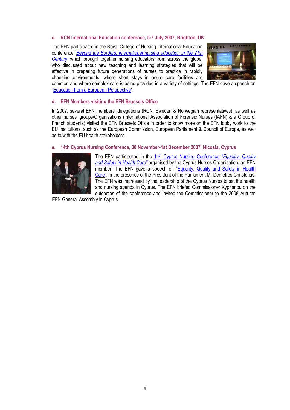# **c. RCN International Education conference, 5-7 July 2007, Brighton, UK**

The EFN participated in the Royal College of Nursing International Education conference *'Beyond the Borders: international nursing education in the 21st Century'* which brought together nursing educators from across the globe, who discussed about new teaching and learning strategies that will be effective in preparing future generations of nurses to practice in rapidly changing environments, where short stays in acute care facilities are



common and where complex care is being provided in a variety of settings. The EFN gave a speech on "Education from a European Perspective".

### **d. EFN Members visiting the EFN Brussels Office**

In 2007, several EFN members' delegations (RCN, Sweden & Norwegian representatives), as well as other nurses' groups/Organisations (International Association of Forensic Nurses (IAFN) & a Group of French students) visited the EFN Brussels Office in order to know more on the EFN lobby work to the EU Institutions, such as the European Commission, European Parliament & Council of Europe, as well as to/with the EU health stakeholders.

# **e. 14th Cyprus Nursing Conference, 30 November-1st December 2007, Nicosia, Cyprus**



The EFN participated in the 14<sup>th</sup> Cyprus Nursing Conference "Equality, Quality *and Safety in Health Care"* organised by the Cyprus Nurses Organisation, an EFN member. The EFN gave a speech on "Equality, Quality and Safety in Health Care", in the presence of the President of the Parliament Mr Demetres Christofias. The EFN was impressed by the leadership of the Cyprus Nurses to set the health and nursing agenda in Cyprus. The EFN briefed Commissioner Kyprianou on the outcomes of the conference and invited the Commissioner to the 2008 Autumn

EFN General Assembly in Cyprus.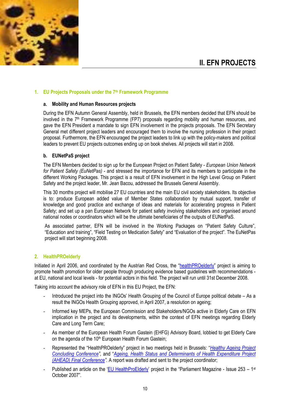

# **II. EFN PROJECTS**

# **1. EU Projects Proposals under the 7th Framework Programme**

### **a. Mobility and Human Resources projects**

During the EFN Autumn General Assembly, held in Brussels, the EFN members decided that EFN should be involved in the 7<sup>th</sup> Framework Programme (FP7) proposals regarding mobility and human resources, and gave the EFN President a mandate to sign EFN involvement in the projects proposals. The EFN Secretary General met different project leaders and encouraged them to involve the nursing profession in their project proposal. Furthermore, the EFN encouraged the project leaders to link up with the policy-makers and political leaders to prevent EU projects outcomes ending up on book shelves. All projects will start in 2008.

### **b. EUNetPaS project**

The EFN Members decided to sign up for the European Project on Patient Safety - *European Union Network for Patient Safety (EuNetPas)* - and stressed the importance for EFN and its members to participate in the different Working Packages. This project is a result of EFN involvement in the High Level Group on Patient Safety and the project leader, Mr. Jean Bacou, addressed the Brussels General Assembly.

This 30 months project will mobilise 27 EU countries and the main EU civil society stakeholders. Its objective is to: produce European added value of Member States collaboration by mutual support, transfer of knowledge and good practice and exchange of ideas and materials for accelerating progress in Patient Safety; and set up a pan European Network for patient safety involving stakeholders and organised around national nodes or coordinators which will be the ultimate beneficiaries of the outputs of EUNetPaS.

As associated partner, EFN will be involved in the Working Packages on "Patient Safety Culture", "Education and training", "Field Testing on Medication Safety" and "Evaluation of the project". The EuNetPas project will start beginning 2008.

### **2. HealthPROelderly**

Initiated in April 2006, and coordinated by the Austrian Red Cross, the "healthPROelderly" project is aiming to promote health promotion for older people through producing evidence based guidelines with recommendations at EU, national and local levels - for potential actors in this field. The project will run until 31st December 2008.

Taking into account the advisory role of EFN in this EU Project, the EFN:

- Introduced the project into the INGOs' Health Grouping of the Council of Europe political debate As a result the INGOs Health Grouping approved, in April 2007, a resolution on ageing;
- Informed key MEPs, the European Commission and Stakeholders/NGOs active in Elderly Care on EFN implication in the project and its developments, within the context of EFN meetings regarding Elderly Care and Long Term Care;
- As member of the European Health Forum Gastein (EHFG) Advisory Board, lobbied to get Elderly Care on the agenda of the 10<sup>th</sup> European Health Forum Gastein:
- Represented the "HealthPROelderly" project in two meetings held in Brussels: "*Healthy Ageing Project Concluding Conference",* and "*Ageing, Health Status and Determinants of Health Expenditure Project (AHEAD) Final Conference".* A report was drafted and sent to the project coordinator;
- Published an article on the 'EU HealthProElderly' project in the "Parliament Magazine Issue 253 1<sup>st</sup> October 2007".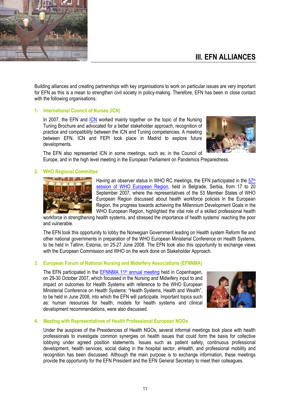

Building alliances and creating partnerships with key organisations to work on particular issues are very important for EFN as this is a mean to strengthen civil society in policy-making. Therefore, EFN has been in close contact with the following organisations:

# **1. International Council of Nurses (ICN)**

In 2007, the EFN and **ICN** worked mainly together on the topic of the Nursing Tuning Brochure and advocated for a better stakeholder approach, recognition of practice and compatibility between the ICN and Tuning competencies. A meeting between EFN, ICN and FEPI took place in Madrid to explore future developments.



The EFN also represented ICN in some meetings, such as: in the Council of Europe, and in the high level meeting in the European Parliament on Pandemics Preparedness.

# **2. WHO Regional Committee**



Having an observer status in WHO RC meetings, the EFN participated in the  $57<sup>th</sup>$ session of WHO European Region, held in Belgrade, Serbia, from 17 to 20 September 2007, where the representatives of the 53 Member States of WHO European Region discussed about health workforce policies in the European Region, the progress towards achieving the Millennium Development Goals in the WHO European Region, highlighted the vital role of a skilled professional health

workforce in strengthening health systems, and stressed the importance of health systems' reaching the poor and vulnerable.

The EFN took this opportunity to lobby the Norwegian Government leading on Health system Reform file and other national governments in preparation of the WHO European Ministerial Conference on Health Systems, to be held in Tallinn, Estonia, on 25-27 June 2008. The EFN took also this opportunity to exchange views with the European Commission and WHO on the work done on Stakeholder Approach.

### **3. European Forum of National Nursing and Midwifery Associations (EFNNMA)**

The EFN participated in the EFNNMA 11<sup>th</sup> annual meeting held in Copenhagen, on 29-30 October 2007, which focussed in the Nursing and Midwifery input to and impact on outcomes for Health Systems with reference to the WHO European Ministerial Conference on Health Systems: "Health Systems, Health and Wealth", to be held in June 2008, into which the EFN will participate. Important topics such as: human resources for health, models for health systems and clinical development recommendations, were also discussed.



### **4. Meeting with Representatives of Health Professional European NGOs**

Under the auspices of the Presidencies of Health NGOs, several informal meetings took place with health professionals to investigate common synergies on health issues that could form the basis for collective lobbying under agreed position statements. Issues such as patient safety, continuous professional development, health services, social dialog in the hospital sector, eHealth, and professional mobility and recognition has been discussed. Although the main purpose is to exchange information, these meetings provide the opportunity for the EFN President and the EFN General Secretary to meet their colleagues.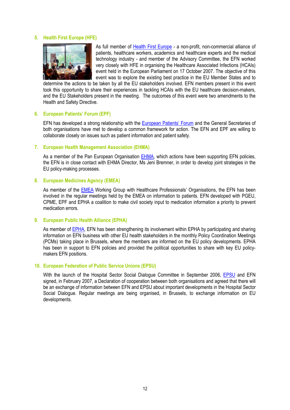### **5. Health First Europe (HFE)**



As full member of Health First Europe - a non-profit, non-commercial alliance of patients, healthcare workers, academics and healthcare experts and the medical technology industry - and member of the Advisory Committee, the EFN worked very closely with HFE in organising the Healthcare Associated Infections (HCAIs) event held in the European Parliament on 17 October 2007. The objective of this event was to explore the existing best practice in the EU Member States and to

determine the actions to be taken by all the EU stakeholders involved. EFN members present in this event took this opportunity to share their experiences in tackling HCAIs with the EU healthcare decision-makers, and the EU Stakeholders present in the meeting. The outcomes of this event were two amendments to the Health and Safety Directive.

### **6. European Patients' Forum (EPF)**

EFN has developed a strong relationship with the European Patients' Forum and the General Secretaries of both organisations have met to develop a common framework for action. The EFN and EPF are willing to collaborate closely on issues such as patient information and patient safety.

# **7. European Health Management Association (EHMA)**

As a member of the Pan European Organisation **EHMA**, which actions have been supporting EFN policies, the EFN is in close contact with EHMA Director, Ms Jeni Bremner, in order to develop joint strategies in the EU policy-making processes.

### **8. European Medicines Agency (EMEA)**

As member of the EMEA Working Group with Healthcare Professionals' Organisations, the EFN has been involved in the regular meetings held by the EMEA on information to patients. EFN developed with PGEU, CPME, EPF and EPHA a coalition to make civil society input to medication information a priority to prevent medication errors.

### **9. European Public Health Alliance (EPHA)**

As member of EPHA, EFN has been strengthening its involvement within EPHA by participating and sharing information on EFN business with other EU health stakeholders in the monthly Policy Coordination Meetings (PCMs) taking place in Brussels, where the members are informed on the EU policy developments. EPHA has been in support to EFN policies and provided the political opportunities to share with key EU policymakers EFN positions.

## **10. European Federation of Public Service Unions (EPSU)**

With the launch of the Hospital Sector Social Dialogue Committee in September 2006, EPSU and EFN signed, in February 2007, a Declaration of cooperation between both organisations and agreed that there will be an exchange of information between EFN and EPSU about important developments in the Hospital Sector Social Dialogue. Regular meetings are being organised, in Brussels, to exchange information on EU developments.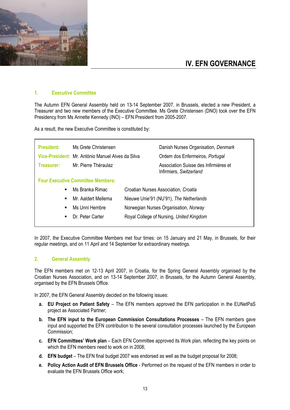

# **IV. EFN GOVERNANCE**

### **1. Executive Committee**

The Autumn EFN General Assembly held on 13-14 September 2007, in Brussels, elected a new President, a Treasurer and two new members of the Executive Committee. Ms Grete Christensen (DNO) took over the EFN Presidency from Ms Annette Kennedy (INO) – EFN President from 2005-2007.

As a result, the new Executive Committee is constituted by:

| <b>President:</b> | Ms Grete Christensen<br>Vice-President: Mr. António Manuel Alves da Silva | Danish Nurses Organisation, Denmark<br>Ordem dos Enfermeiros, Portugal |
|-------------------|---------------------------------------------------------------------------|------------------------------------------------------------------------|
| Treasurer:        | Mr. Pierre Théraulaz                                                      | Association Suisse des Infirmières et<br>Infirmiers, Switzerland       |
|                   | <b>Four Executive Committee Members:</b>                                  |                                                                        |
| ٠                 | Ms Branka Rimac                                                           | Croatian Nurses Association, Croatia                                   |
| $\blacksquare$    | Mr. Aaldert Mellema                                                       | Nieuwe Unie'91 (NU'91), The Netherlands                                |
| $\blacksquare$    | Ms Unni Hembre                                                            | Norwegian Nurses Organisation, Norway                                  |
| ٠                 | Dr. Peter Carter                                                          | Royal College of Nursing, United Kingdom                               |
|                   |                                                                           |                                                                        |

In 2007, the Executive Committee Members met four times: on 15 January and 21 May, in Brussels, for their regular meetings, and on 11 April and 14 September for extraordinary meetings.

# **2. General Assembly**

The EFN members met on 12-13 April 2007, in Croatia, for the Spring General Assembly organised by the Croatian Nurses Association, and on 13-14 September 2007, in Brussels, for the Autumn General Assembly, organised by the EFN Brussels Office.

In 2007, the EFN General Assembly decided on the following issues:

- **a. EU Project on Patient Safety** The EFN members approved the EFN participation in the EUNetPaS project as Associated Partner;
- **b. The EFN input to the European Commission Consultations Processes** The EFN members gave input and supported the EFN contribution to the several consultation processes launched by the European Commission;
- **c. EFN Committees' Work plan** Each EFN Committee approved its Work plan, reflecting the key points on which the EFN members need to work on in 2008;
- **d. EFN budget** The EFN final budget 2007 was endorsed as well as the budget proposal for 2008;
- **e. Policy Action Audit of EFN Brussels Office**  Performed on the request of the EFN members in order to evaluate the EFN Brussels Office work;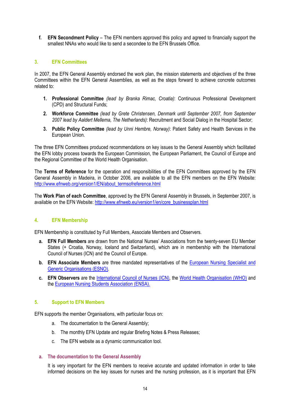**f. EFN Secondment Policy** – The EFN members approved this policy and agreed to financially support the smallest NNAs who would like to send a secondee to the EFN Brussels Office.

# **3. EFN Committees**

In 2007, the EFN General Assembly endorsed the work plan, the mission statements and objectives of the three Committees within the EFN General Assemblies, as well as the steps forward to achieve concrete outcomes related to:

- **1. Professional Committee** *(lead by Branka Rimac, Croatia)*: Continuous Professional Development (CPD) and Structural Funds;
- **2. Workforce Committee** *(lead by Grete Christensen, Denmark until September 2007, from September 2007 lead by Aaldert Mellema, The Netherlands)*: Recruitment and Social Dialog in the Hospital Sector;
- **3. Public Policy Committee** *(lead by Unni Hembre, Norway)*: Patient Safety and Health Services in the European Union.

The three EFN Committees produced recommendations on key issues to the General Assembly which facilitated the EFN lobby process towards the European Commission, the European Parliament, the Council of Europe and the Regional Committee of the World Health Organisation.

The **Terms of Reference** for the operation and responsibilities of the EFN Committees approved by the EFN General Assembly in Madeira, in October 2006, are available to all the EFN members on the EFN Website: http://www.efnweb.org/version1/EN/about\_termsofreference.html

The **Work Plan of each Committee**, approved by the EFN General Assembly in Brussels, in September 2007, is available on the EFN Website: http://www.efnweb.eu/version1/en/core\_businessplan.html

# **4. EFN Membership**

EFN Membership is constituted by Full Members, Associate Members and Observers.

- **a. EFN Full Members** are drawn from the National Nurses' Associations from the twenty-seven EU Member States (+ Croatia, Norway, Iceland and Switzerland), which are in membership with the International Council of Nurses (ICN) and the Council of Europe.
- **b. EFN Associate Members** are three mandated representatives of the European Nursing Specialist and Generic Organisations (ESNO).
- **c. EFN Observers** are the International Council of Nurses (ICN), the World Health Organisation (WHO) and the European Nursing Students Association (ENSA).

# **5. Support to EFN Members**

EFN supports the member Organisations, with particular focus on:

- a. The documentation to the General Assembly;
- b. The monthly EFN Update and regular Briefing Notes & Press Releases;
- c. The EFN website as a dynamic communication tool.

### **a. The documentation to the General Assembly**

It is very important for the EFN members to receive accurate and updated information in order to take informed decisions on the key issues for nurses and the nursing profession, as it is important that EFN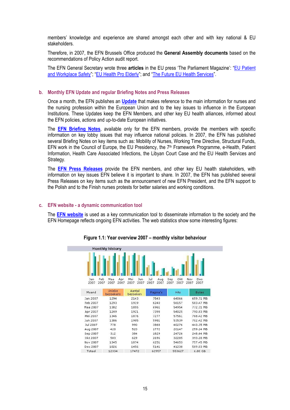members' knowledge and experience are shared amongst each other and with key national & EU stakeholders.

Therefore, in 2007, the EFN Brussels Office produced the **General Assembly documents** based on the recommendations of Policy Action audit report.

The EFN General Secretary wrote three **articles** in the EU press 'The Parliament Magazine': "EU Patient and Workplace Safety"; "EU Health Pro Elderly"; and "The Future EU Health Services".

# **b. Monthly EFN Update and regular Briefing Notes and Press Releases**

Once a month, the EFN publishes an **Update** that makes reference to the main information for nurses and the nursing profession within the European Union and to the key issues to influence in the European Institutions. These Updates keep the EFN Members, and other key EU health alliances, informed about the EFN policies, actions and up-to-date European initiatives.

The **EFN Briefing Notes**, available only for the EFN members, provide the members with specific information on key lobby issues that may influence national policies. In 2007, the EFN has published several Briefing Notes on key items such as: Mobility of Nurses, Working Time Directive, Structural Funds, EFN work in the Council of Europe, the EU Presidency, the 7<sup>th</sup> Framework Programme, e-Health, Patient Information, Health Care Associated Infections, the Libyan Court Case and the EU Health Services and Strategy.

The **EFN Press Releases** provide the EFN members, and other key EU health stakeholders, with information on key issues EFN believe it is important to share. In 2007, the EFN has published several Press Releases on key items such as the announcement of new EFN President, and the EFN support to the Polish and to the Finish nurses protests for better salaries and working conditions.

### **c. EFN website - a dynamic communication tool**

The **EFN website** is used as a key communication tool to disseminate information to the society and the EFN Homepage reflects ongoing EFN activities. The web statistics show some interesting figures:

|                    | <b>Monthly history</b>     |                            |                            |                            |                            |
|--------------------|----------------------------|----------------------------|----------------------------|----------------------------|----------------------------|
|                    |                            |                            |                            |                            |                            |
| Feb<br>Jan<br>2007 | Maa<br>Apr<br>2007<br>2007 | Mei<br>Jun<br>2007<br>2007 | Jul<br>Aug<br>2007<br>2007 | Okt<br>Sep<br>2007<br>2007 | Nov<br>Dec<br>2007<br>2007 |
| 2007               |                            |                            |                            |                            |                            |
| Maand              | Unieke<br>bezoekers.       | Aantal<br>bezoeken         | Pagina's                   | <b>Hits</b>                | <b>Bytes</b>               |
| Jan 2007           | 1294                       | 2143                       | 7543                       | 64066                      | 659.71 MB                  |
| Feb 2007           | 1293                       | 1919                       | 6240                       | 56157                      | 583.47 MB                  |
| Maa 2007           | 1382                       | 1855                       | 6961                       | 54954                      | 772.31 MB                  |
| Apr 2007           | 1249                       | 1921                       | 7398                       | 54025                      | 790.83 MB                  |
| Mei 2007           | 1346                       | 1876                       | 7277                       | 57561                      | 768.42 MB                  |
| Jun 2007           | 1386                       | 1905                       | 5981                       | 53539                      | 702.42 MB                  |
| Jul 2007           | 778                        | 990                        | 3868                       | 40276                      | 443.35 MB                  |
| Aug 2007           | 420                        | 520                        | 1772                       | 20147                      | 259.24 MB                  |
| Sep 2007           | 312                        | 384                        | 1829                       | 24726                      | 248.64 MB                  |
| Okt 2007           | 503                        | 629                        | 2696                       | 32285                      | 393.28 MB                  |
| Nov 2007           | 1345                       | 1874                       | 6251                       | 54653                      | 757.45 MB                  |
| Dec 2007           | 1026                       | 1456                       | 5141                       | 41238                      | 589.03 MB                  |
| Totaal             | 12334                      | 17472                      | 62957                      | 553627                     | 6.80 GB                    |

#### **Figure 1.1: Year overview 2007 – monthly visitor behaviour**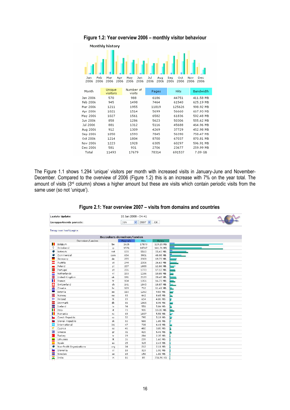

**Figure 1.2: Year overview 2006 – monthly visitor behaviour** 

The Figure 1.1 shows 1.294 'unique' visitors per month with increased visits in January-June and November-December. Compared to the overview of 2006 (Figure 1.2) this is an increase with 7% on the year total. The amount of visits (3rd column) shows a higher amount but these are visits which contain periodic visits from the same user (so not 'unique').

|               | Figure 2.1: Year overview 2007 – visits from domains and countries |  |  |  |  |  |
|---------------|--------------------------------------------------------------------|--|--|--|--|--|
|               | 26 Jan 2008 - 04:41                                                |  |  |  |  |  |
| le neriode: . | $\frac{1}{2}$ 1an $\frac{1}{2}$ 2007 $\frac{1}{2}$ 0K              |  |  |  |  |  |

 $\sqrt{2}$ 

**Laatste Updat** 

| Gerapporteerde periode: |                          | Jan<br>$\mathbf{v}$<br>$2007$ $\vee$<br>OK. |          |             | <b>MARKET</b> |   |  |
|-------------------------|--------------------------|---------------------------------------------|----------|-------------|---------------|---|--|
|                         | Terug naar hoofdpagina   |                                             |          |             |               |   |  |
|                         |                          | Bezoekers domeinen/landen                   |          |             |               |   |  |
|                         | Domeinen/Landen          |                                             | Pagina's | <b>Hits</b> | <b>Bytes</b>  |   |  |
| П                       | Belgium                  | <b>be</b>                                   | 1625     | 17879       | 119.15 MB     |   |  |
| 9                       | Onbekend                 | ip                                          | 1576     | 10747       | 161.71 MB     |   |  |
| $\bullet$               | Network                  | net                                         | 878      | 5560        | 55.43 MB      |   |  |
| Ø                       | Commercial               | com                                         | 634      | 3901        | 48.98 MB      |   |  |
| ÷                       | Germany                  | de                                          | 255      | 2308        | 19.73 MB      |   |  |
| Ξ                       | Austria                  | at                                          | 244      | 2306        | 26.63 MB      |   |  |
|                         | Poland                   | pl                                          | 207      | 1888        | 12.86 MB      |   |  |
| 壑                       | Portugal                 | pt                                          | 206      | 1773        | 17.12 MB      |   |  |
| Ξ                       | Netherlands              | nl                                          | 193      | 1186        | 10.88 MB      |   |  |
| 噐                       | United Kingdom           | uk                                          | 191      | 2120        | 20.48 MB      |   |  |
| П                       | France                   | fr                                          | 154      | 1356        | 16.73 MB      |   |  |
| ÷                       | Switzerland              | ch                                          | 141      | 1040        | 18.87 MB      |   |  |
| z                       | Croatia                  | hr                                          | 129      | 712         | 11.41 MB      |   |  |
| m.                      | Estonia                  | ee                                          | 110      | 1262        | 9.59 MB       |   |  |
| 噐                       | Norway                   | no                                          | 93       | 642         | 8.65 MB       |   |  |
| ÷                       | Finland                  | fi                                          | 89       | 614         | 4.06 MB       | 늘 |  |
| H                       | Denmark                  | dk                                          | 86       | 1065        | 8.98 MB       | 느 |  |
| ╄                       | Iceland                  | is                                          | 74       | 551         | 5.84 MB       | 늘 |  |
| Ш                       | Italy                    | it                                          | 73       | 935         | 13.35 MB      | ₩ |  |
| п                       | Romania                  | ro                                          | 69       | 1037        | 5.59 MB       | 늘 |  |
|                         | Czech Republic           | cz                                          | 52       | 795         | 5.19 MB       | ь |  |
| 82                      | Slovak Republic          | sk                                          | 50       | 508         | 1.85 MB       |   |  |
| Ŵ                       | International            | int                                         | 47       | 738         | 6.49 MB       |   |  |
| Ψ                       | Cyprus                   | ĆΥ                                          | 46       | 402         | 3.85 MB       |   |  |
| 医                       | Greece                   | gr.                                         | 31       | 420         | 5.46 MB       |   |  |
| G.                      | Turkey                   | tr                                          | 29       | 204         | 2.35 MB       |   |  |
| -                       | Lithuania                | It.                                         | 26       | 239         | 1.60 MB       |   |  |
| Ξ                       | Spain                    | es                                          | 25       | 315         | 2.43 MB       |   |  |
| ۰                       | Non-Profit Organizations | org                                         | 24       | 212         | 2.11 MB       |   |  |
| غة                      | Slovenia                 | si                                          | 18       | 319         | 1.92 MB       |   |  |
| ÷                       | Sweden                   | se                                          | 18       | 156         | 1.82 MB       |   |  |
| E.                      | India                    | in                                          | 16       | 89          | 756.96 KB     |   |  |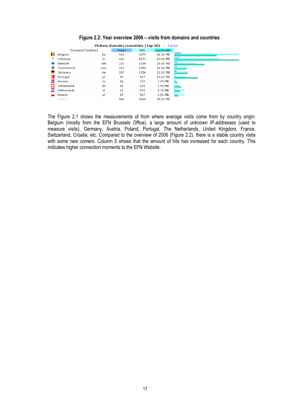|         | Visitors domains/countries (Top 10) - Full list |     |       |             |                  |
|---------|-------------------------------------------------|-----|-------|-------------|------------------|
|         | Domains/Countries                               |     | Pages | <b>Hits</b> | <b>Bandwidth</b> |
| ш       | Belgium                                         | be  | 568   | 5879        | 41.30 MB         |
| 9       | Unknown                                         | ip  | 466   | 4072        | 63.48 MB         |
|         | Network                                         | net | 337   | 1934        | 29.65 MB         |
|         | Commercial                                      | com | 241   | 1258        | 11.51 MB         |
| P.<br>₩ | Germany                                         | de  | 197   | 1254        | 13.10 MB         |
|         | Portugal                                        | pt  | 90    | 927         | 23.14 MB         |
|         | Norway                                          | no  | 84    | 215         | 3.05 MB          |
| ю       | Switzerland                                     | ch  | 64    | 428         | 6.90 MB          |
|         | Netherlands                                     | nl  | 61    | 929         | 5.70 MB          |
|         | Poland                                          | pl  | 58    | 967         | 4.01 MB          |
|         | Others                                          |     | 540   | 5814        | 58.14 MB         |

# **Figure 2.2: Year overview 2006 – visits from domains and countries**

The Figure 2.1 shows the measurements of from where average visits come from by country origin: Belgium (mostly from the EFN Brussels Office), a large amount of unknown IP-addresses (used to measure visits), Germany, Austria, Poland, Portugal, The Netherlands, United Kingdom, France, Switzerland, Croatia, etc. Compared to the overview of 2006 (Figure 2.2), there is a stable country visits with some new comers. Column 5 shows that the amount of hits has increased for each country. This indicates higher connection moments to the EFN Website.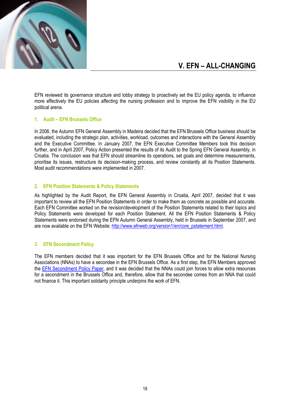

# **V. EFN – ALL-CHANGING**

EFN reviewed its governance structure and lobby strategy to proactively set the EU policy agenda, to influence more effectively the EU policies affecting the nursing profession and to improve the EFN visibility in the EU political arena.

# **1. Audit – EFN Brussels Office**

In 2006, the Autumn EFN General Assembly in Madeira decided that the EFN Brussels Office business should be evaluated, including the strategic plan, activities, workload, outcomes and interactions with the General Assembly and the Executive Committee. In January 2007, the EFN Executive Committee Members took this decision further, and in April 2007, Policy Action presented the results of its Audit to the Spring EFN General Assembly, in Croatia. The conclusion was that EFN should streamline its operations, set goals and determine measurements, prioritise its issues, restructure its decision-making process, and review constantly all its Position Statements. Most audit recommendations were implemented in 2007.

# **2. EFN Position Statements & Policy Statements**

As highlighted by the Audit Report, the EFN General Assembly in Croatia, April 2007, decided that it was important to review all the EFN Position Statements in order to make them as concrete as possible and accurate. Each EFN Committee worked on the revision/development of the Position Statements related to their topics and Policy Statements were developed for each Position Statement. All the EFN Position Statements & Policy Statements were endorsed during the EFN Autumn General Assembly, held in Brussels in September 2007, and are now available on the EFN Website: http://www.efnweb.org/version1/en/core\_pstatement.html.

### **3. EFN Secondment Policy**

The EFN members decided that it was important for the EFN Brussels Office and for the National Nursing Associations (NNAs) to have a secondee in the EFN Brussels Office. As a first step, the EFN Members approved the EFN Secondment Policy Paper, and it was decided that the NNAs could join forces to allow extra resources for a secondment in the Brussels Office and, therefore, allow that the secondee comes from an NNA that could not finance it. This important solidarity principle underpins the work of EFN.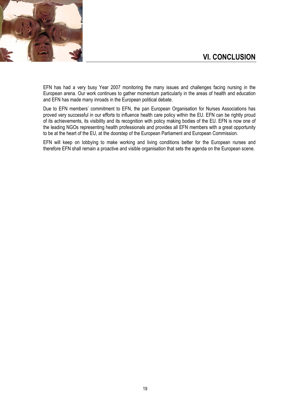

EFN has had a very busy Year 2007 monitoring the many issues and challenges facing nursing in the European arena. Our work continues to gather momentum particularly in the areas of health and education and EFN has made many inroads in the European political debate.

Due to EFN members' commitment to EFN, the pan European Organisation for Nurses Associations has proved very successful in our efforts to influence health care policy within the EU. EFN can be rightly proud of its achievements, its visibility and its recognition with policy making bodies of the EU. EFN is now one of the leading NGOs representing health professionals and provides all EFN members with a great opportunity to be at the heart of the EU, at the doorstep of the European Parliament and European Commission.

EFN will keep on lobbying to make working and living conditions better for the European nurses and therefore EFN shall remain a proactive and visible organisation that sets the agenda on the European scene.